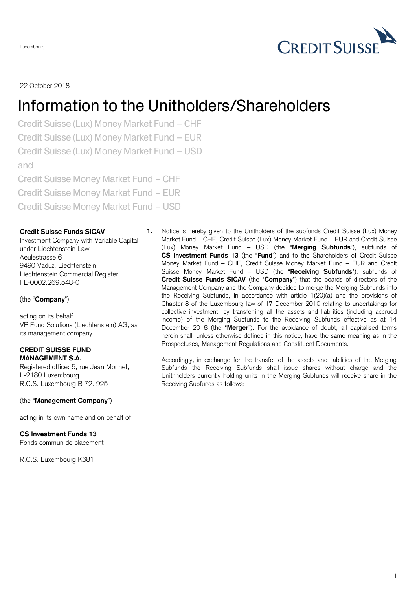Luxembourg

## 22 October 2018

# Information to the Unitholders/Shareholders

Credit Suisse (Lux) Money Market Fund – CHF Credit Suisse (Lux) Money Market Fund – EUR Credit Suisse (Lux) Money Market Fund – USD and Credit Suisse Money Market Fund – CHF Credit Suisse Money Market Fund – EUR

Credit Suisse Money Market Fund – USD

### **Credit Suisse Funds SICAV**

Investment Company with Variable Capital under Liechtenstein Law Aeulestrasse 6 9490 Vaduz, Liechtenstein Liechtenstein Commercial Register FL-0002.269.548-0

#### (the "**Company**")

acting on its behalf VP Fund Solutions (Liechtenstein) AG, as its management company

#### **CREDIT SUISSE FUND MANAGEMENT S.A.**

Registered office: 5, rue Jean Monnet, L-2180 Luxembourg R.C.S. Luxembourg B 72. 925

#### (the "**Management Company**")

acting in its own name and on behalf of

## **CS Investment Funds 13**

Fonds commun de placement

R.C.S. Luxembourg K681

**1.** Notice is hereby given to the Unitholders of the subfunds Credit Suisse (Lux) Money Market Fund – CHF, Credit Suisse (Lux) Money Market Fund – EUR and Credit Suisse (Lux) Money Market Fund – USD (the "**Merging Subfunds**"), subfunds of **CS Investment Funds 13** (the "**Fund**") and to the Shareholders of Credit Suisse Money Market Fund – CHF, Credit Suisse Money Market Fund – EUR and Credit Suisse Money Market Fund – USD (the "**Receiving Subfunds**"), subfunds of **Credit Suisse Funds SICAV** (the "**Company**") that the boards of directors of the Management Company and the Company decided to merge the Merging Subfunds into the Receiving Subfunds, in accordance with article 1(20)(a) and the provisions of Chapter 8 of the Luxembourg law of 17 December 2010 relating to undertakings for collective investment, by transferring all the assets and liabilities (including accrued income) of the Merging Subfunds to the Receiving Subfunds effective as at 14 December 2018 (the "**Merger**"). For the avoidance of doubt, all capitalised terms herein shall, unless otherwise defined in this notice, have the same meaning as in the Prospectuses, Management Regulations and Constituent Documents.

Accordingly, in exchange for the transfer of the assets and liabilities of the Merging Subfunds the Receiving Subfunds shall issue shares without charge and the Unithholders currently holding units in the Merging Subfunds will receive share in the Receiving Subfunds as follows: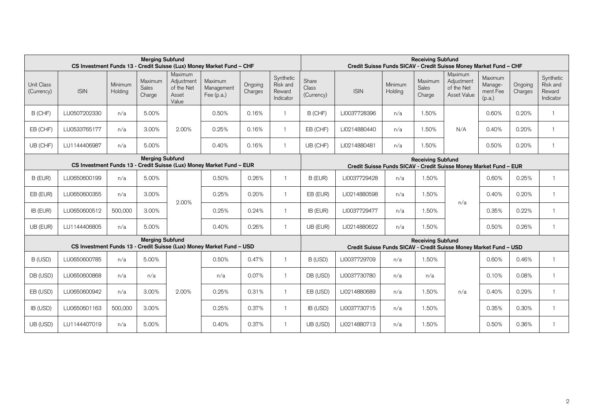| <b>Merging Subfund</b><br>CS Investment Funds 13 - Credit Suisse (Lux) Money Market Fund - CHF |              |                    |                            |                                                       |                                     |                    |                                              |                                                                                               | <b>Receiving Subfund</b><br>Credit Suisse Funds SICAV - Credit Suisse Money Market Fund - CHF |                    |                            |                                                    |                                          |                    |                                              |  |
|------------------------------------------------------------------------------------------------|--------------|--------------------|----------------------------|-------------------------------------------------------|-------------------------------------|--------------------|----------------------------------------------|-----------------------------------------------------------------------------------------------|-----------------------------------------------------------------------------------------------|--------------------|----------------------------|----------------------------------------------------|------------------------------------------|--------------------|----------------------------------------------|--|
| Unit Class<br>(Currency)                                                                       | <b>ISIN</b>  | Minimum<br>Holding | Maximum<br>Sales<br>Charge | Maximum<br>Adjustment<br>of the Net<br>Asset<br>Value | Maximum<br>Management<br>Fee (p.a.) | Ongoing<br>Charges | Synthetic<br>Risk and<br>Reward<br>Indicator | Share<br><b>Class</b><br>(Currency)                                                           | <b>ISIN</b>                                                                                   | Minimum<br>Holding | Maximum<br>Sales<br>Charge | Maximum<br>Adjustment<br>of the Net<br>Asset Value | Maximum<br>Manage-<br>ment Fee<br>(p.a.) | Ongoing<br>Charges | Synthetic<br>Risk and<br>Reward<br>Indicator |  |
| B (CHF)                                                                                        | LU0507202330 | n/a                | 5.00%                      | 2.00%                                                 | 0.50%                               | 0.16%              |                                              | B (CHF)                                                                                       | LI0037728396                                                                                  | n/a                | 1.50%                      | N/A                                                | 0.60%                                    | 0.20%              |                                              |  |
| EB (CHF)                                                                                       | LU0533765177 | n/a                | 3.00%                      |                                                       | 0.25%                               | 0.16%              | $\overline{1}$                               | EB (CHF)                                                                                      | LI0214880440                                                                                  | n/a                | 1.50%                      |                                                    | 0.40%                                    | 0.20%              |                                              |  |
| UB (CHF)                                                                                       | LU1144406987 | n/a                | 5.00%                      |                                                       | 0.40%                               | 0.16%              | $\overline{1}$                               | UB (CHF)                                                                                      | LI0214880481                                                                                  | n/a                | 1.50%                      |                                                    | 0.50%                                    | 0.20%              |                                              |  |
| <b>Merging Subfund</b><br>CS Investment Funds 13 - Credit Suisse (Lux) Money Market Fund - EUR |              |                    |                            |                                                       |                                     |                    |                                              | <b>Receiving Subfund</b><br>Credit Suisse Funds SICAV - Credit Suisse Money Market Fund - EUR |                                                                                               |                    |                            |                                                    |                                          |                    |                                              |  |
| B (EUR)                                                                                        | LU0650600199 | n/a                | 5.00%                      | 2.00%                                                 | 0.50%                               | 0.26%              |                                              | B (EUR)                                                                                       | LI0037729428                                                                                  | n/a                | 1.50%                      | n/a                                                | 0.60%                                    | 0.25%              | $\mathbf{1}$                                 |  |
| EB (EUR)                                                                                       | LU0650600355 | n/a                | 3.00%                      |                                                       | 0.25%                               | 0.20%              | $\overline{1}$                               | EB (EUR)                                                                                      | LI0214880598                                                                                  | n/a                | 1.50%                      |                                                    | 0.40%                                    | 0.20%              | $\mathbf{1}$                                 |  |
| IB (EUR)                                                                                       | LU0650600512 | 500,000            | 3.00%                      |                                                       | 0.25%                               | 0.24%              | -1                                           | IB (EUR)                                                                                      | LI0037729477                                                                                  | n/a                | 1.50%                      |                                                    | 0.35%                                    | 0.22%              | $\overline{1}$                               |  |
| UB (EUR)                                                                                       | LU1144406805 | n/a                | 5.00%                      |                                                       | 0.40%                               | 0.26%              | -1                                           | UB (EUR)                                                                                      | LI0214880622                                                                                  | n/a                | 1.50%                      |                                                    | 0.50%                                    | 0.26%              | $\mathbf{1}$                                 |  |
| <b>Merging Subfund</b><br>CS Investment Funds 13 - Credit Suisse (Lux) Money Market Fund - USD |              |                    |                            |                                                       |                                     |                    |                                              | <b>Receiving Subfund</b><br>Credit Suisse Funds SICAV - Credit Suisse Money Market Fund - USD |                                                                                               |                    |                            |                                                    |                                          |                    |                                              |  |
| B (USD)                                                                                        | LU0650600785 | n/a                | 5.00%                      | 2.00%                                                 | 0.50%                               | 0.47%              |                                              | B (USD)                                                                                       | LI0037729709                                                                                  | n/a                | 1.50%                      | n/a                                                | 0.60%                                    | 0.46%              | $\overline{1}$                               |  |
| DB (USD)                                                                                       | LU0650600868 | n/a                | n/a                        |                                                       | n/a                                 | 0.07%              | -1                                           | DB (USD)                                                                                      | LI0037730780                                                                                  | n/a                | n/a                        |                                                    | 0.10%                                    | 0.08%              | $\mathbf{1}$                                 |  |
| EB (USD)                                                                                       | LU0650600942 | n/a                | 3.00%                      |                                                       | 0.25%                               | 0.31%              | -1                                           | EB (USD)                                                                                      | LI0214880689                                                                                  | n/a                | 1.50%                      |                                                    | 0.40%                                    | 0.29%              | $\overline{1}$                               |  |
| IB (USD)                                                                                       | LU0650601163 | 500,000            | 3.00%                      |                                                       | 0.25%                               | 0.37%              |                                              | IB (USD)                                                                                      | LI0037730715                                                                                  | n/a                | 1.50%                      |                                                    | 0.35%                                    | 0.30%              | $\overline{1}$                               |  |
| UB (USD)                                                                                       | LU1144407019 | n/a                | 5.00%                      |                                                       | 0.40%                               | 0.37%              |                                              | UB (USD)                                                                                      | LI0214880713                                                                                  | n/a                | 1.50%                      |                                                    | 0.50%                                    | 0.36%              | $\overline{1}$                               |  |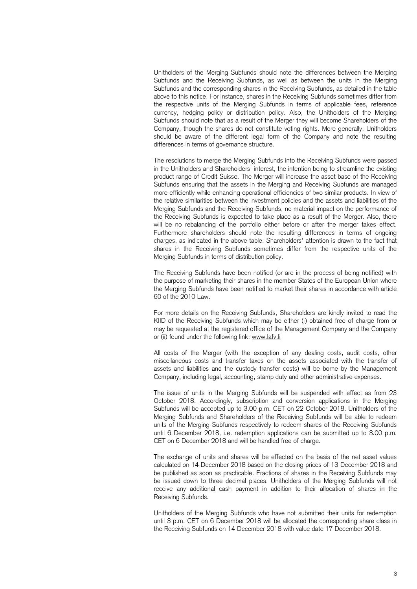Unitholders of the Merging Subfunds should note the differences between the Merging Subfunds and the Receiving Subfunds, as well as between the units in the Merging Subfunds and the corresponding shares in the Receiving Subfunds, as detailed in the table above to this notice. For instance, shares in the Receiving Subfunds sometimes differ from the respective units of the Merging Subfunds in terms of applicable fees, reference currency, hedging policy or distribution policy. Also, the Unitholders of the Merging Subfunds should note that as a result of the Merger they will become Shareholders of the Company, though the shares do not constitute voting rights. More generally, Unitholders should be aware of the different legal form of the Company and note the resulting differences in terms of governance structure.

The resolutions to merge the Merging Subfunds into the Receiving Subfunds were passed in the Unitholders and Shareholders' interest, the intention being to streamline the existing product range of Credit Suisse. The Merger will increase the asset base of the Receiving Subfunds ensuring that the assets in the Merging and Receiving Subfunds are managed more efficiently while enhancing operational efficiencies of two similar products. In view of the relative similarities between the investment policies and the assets and liabilities of the Merging Subfunds and the Receiving Subfunds, no material impact on the performance of the Receiving Subfunds is expected to take place as a result of the Merger. Also, there will be no rebalancing of the portfolio either before or after the merger takes effect. Furthermore shareholders should note the resulting differences in terms of ongoing charges, as indicated in the above table. Shareholders' attention is drawn to the fact that shares in the Receiving Subfunds sometimes differ from the respective units of the Merging Subfunds in terms of distribution policy.

The Receiving Subfunds have been notified (or are in the process of being notified) with the purpose of marketing their shares in the member States of the European Union where the Merging Subfunds have been notified to market their shares in accordance with article 60 of the 2010 Law.

For more details on the Receiving Subfunds, Shareholders are kindly invited to read the KIID of the Receiving Subfunds which may be either (i) obtained free of charge from or may be requested at the registered office of the Management Company and the Company or (ii) found under the following link: [www.lafv.li](http://www.lafv.li/)

All costs of the Merger (with the exception of any dealing costs, audit costs, other miscellaneous costs and transfer taxes on the assets associated with the transfer of assets and liabilities and the custody transfer costs) will be borne by the Management Company, including legal, accounting, stamp duty and other administrative expenses.

The issue of units in the Merging Subfunds will be suspended with effect as from 23 October 2018. Accordingly, subscription and conversion applications in the Merging Subfunds will be accepted up to 3.00 p.m. CET on 22 October 2018. Unitholders of the Merging Subfunds and Shareholders of the Receiving Subfunds will be able to redeem units of the Merging Subfunds respectively to redeem shares of the Receiving Subfunds until 6 December 2018, i.e. redemption applications can be submitted up to 3.00 p.m. CET on 6 December 2018 and will be handled free of charge.

The exchange of units and shares will be effected on the basis of the net asset values calculated on 14 December 2018 based on the closing prices of 13 December 2018 and be published as soon as practicable. Fractions of shares in the Receiving Subfunds may be issued down to three decimal places. Unitholders of the Merging Subfunds will not receive any additional cash payment in addition to their allocation of shares in the Receiving Subfunds.

Unitholders of the Merging Subfunds who have not submitted their units for redemption until 3 p.m. CET on 6 December 2018 will be allocated the corresponding share class in the Receiving Subfunds on 14 December 2018 with value date 17 December 2018.